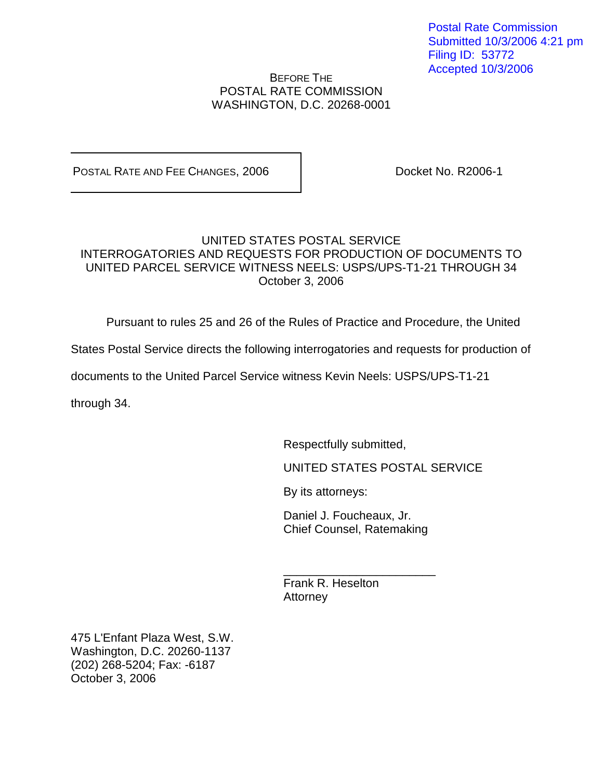Postal Rate Commission Submitted 10/3/2006 4:21 pm Filing ID: 53772 Accepted 10/3/2006

BEFORE THE POSTAL RATE COMMISSION WASHINGTON, D.C. 20268-0001

POSTAL RATE AND FEE CHANGES, 2006 | Docket No. R2006-1

### UNITED STATES POSTAL SERVICE INTERROGATORIES AND REQUESTS FOR PRODUCTION OF DOCUMENTS TO UNITED PARCEL SERVICE WITNESS NEELS: USPS/UPS-T1-21 THROUGH 34 October 3, 2006

Pursuant to rules 25 and 26 of the Rules of Practice and Procedure, the United

States Postal Service directs the following interrogatories and requests for production of

documents to the United Parcel Service witness Kevin Neels: USPS/UPS-T1-21

through 34.

Respectfully submitted,

UNITED STATES POSTAL SERVICE

By its attorneys:

Daniel J. Foucheaux, Jr. Chief Counsel, Ratemaking

\_\_\_\_\_\_\_\_\_\_\_\_\_\_\_\_\_\_\_\_\_\_\_

Frank R. Heselton **Attorney** 

475 L'Enfant Plaza West, S.W. Washington, D.C. 20260-1137 (202) 268-5204; Fax: -6187 October 3, 2006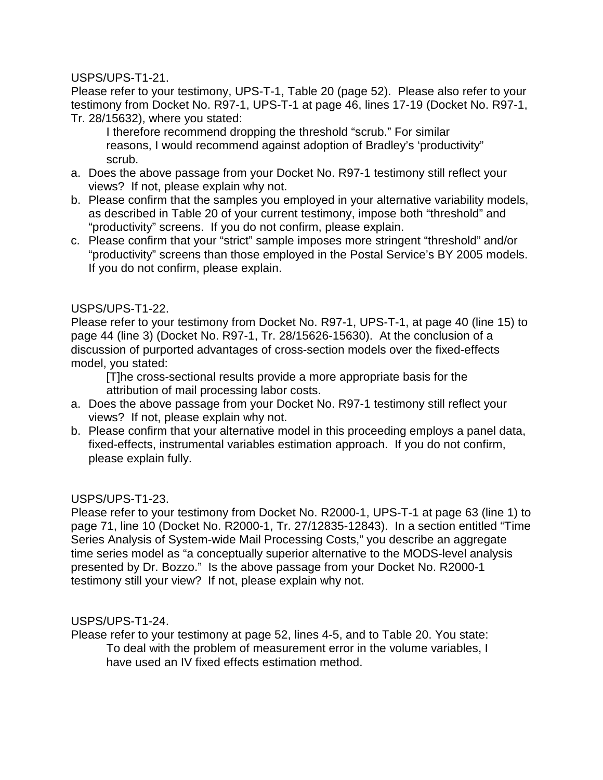#### USPS/UPS-T1-21.

Please refer to your testimony, UPS-T-1, Table 20 (page 52). Please also refer to your testimony from Docket No. R97-1, UPS-T-1 at page 46, lines 17-19 (Docket No. R97-1, Tr. 28/15632), where you stated:

I therefore recommend dropping the threshold "scrub." For similar reasons, I would recommend against adoption of Bradley's 'productivity" scrub.

- a. Does the above passage from your Docket No. R97-1 testimony still reflect your views? If not, please explain why not.
- b. Please confirm that the samples you employed in your alternative variability models, as described in Table 20 of your current testimony, impose both "threshold" and "productivity" screens. If you do not confirm, please explain.
- c. Please confirm that your "strict" sample imposes more stringent "threshold" and/or "productivity" screens than those employed in the Postal Service's BY 2005 models. If you do not confirm, please explain.

#### USPS/UPS-T1-22.

Please refer to your testimony from Docket No. R97-1, UPS-T-1, at page 40 (line 15) to page 44 (line 3) (Docket No. R97-1, Tr. 28/15626-15630). At the conclusion of a discussion of purported advantages of cross-section models over the fixed-effects model, you stated:

[T]he cross-sectional results provide a more appropriate basis for the attribution of mail processing labor costs.

- a. Does the above passage from your Docket No. R97-1 testimony still reflect your views? If not, please explain why not.
- b. Please confirm that your alternative model in this proceeding employs a panel data, fixed-effects, instrumental variables estimation approach. If you do not confirm, please explain fully.

#### USPS/UPS-T1-23.

Please refer to your testimony from Docket No. R2000-1, UPS-T-1 at page 63 (line 1) to page 71, line 10 (Docket No. R2000-1, Tr. 27/12835-12843). In a section entitled "Time Series Analysis of System-wide Mail Processing Costs," you describe an aggregate time series model as "a conceptually superior alternative to the MODS-level analysis presented by Dr. Bozzo." Is the above passage from your Docket No. R2000-1 testimony still your view? If not, please explain why not.

#### USPS/UPS-T1-24.

Please refer to your testimony at page 52, lines 4-5, and to Table 20. You state: To deal with the problem of measurement error in the volume variables, I have used an IV fixed effects estimation method.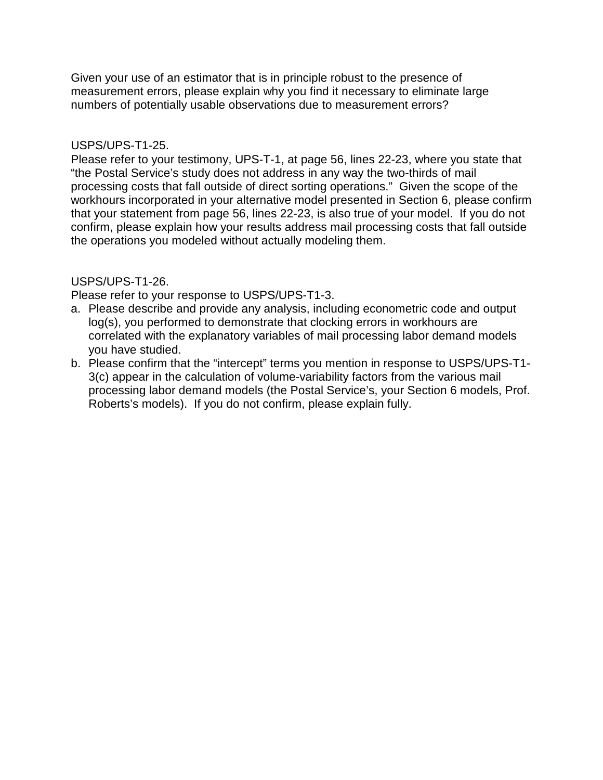Given your use of an estimator that is in principle robust to the presence of measurement errors, please explain why you find it necessary to eliminate large numbers of potentially usable observations due to measurement errors?

#### USPS/UPS-T1-25.

Please refer to your testimony, UPS-T-1, at page 56, lines 22-23, where you state that "the Postal Service's study does not address in any way the two-thirds of mail processing costs that fall outside of direct sorting operations." Given the scope of the workhours incorporated in your alternative model presented in Section 6, please confirm that your statement from page 56, lines 22-23, is also true of your model. If you do not confirm, please explain how your results address mail processing costs that fall outside the operations you modeled without actually modeling them.

### USPS/UPS-T1-26.

Please refer to your response to USPS/UPS-T1-3.

- a. Please describe and provide any analysis, including econometric code and output log(s), you performed to demonstrate that clocking errors in workhours are correlated with the explanatory variables of mail processing labor demand models you have studied.
- b. Please confirm that the "intercept" terms you mention in response to USPS/UPS-T1- 3(c) appear in the calculation of volume-variability factors from the various mail processing labor demand models (the Postal Service's, your Section 6 models, Prof. Roberts's models). If you do not confirm, please explain fully.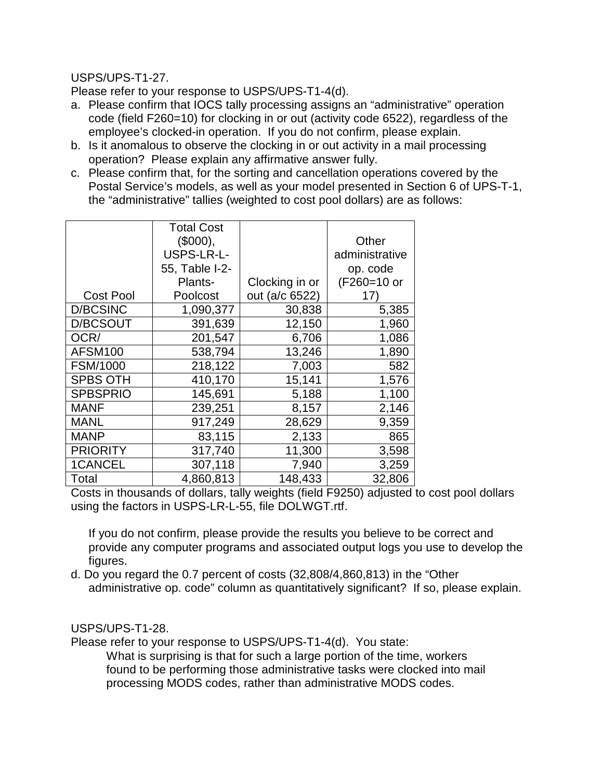USPS/UPS-T1-27.

Please refer to your response to USPS/UPS-T1-4(d).

- a. Please confirm that IOCS tally processing assigns an "administrative" operation code (field F260=10) for clocking in or out (activity code 6522), regardless of the employee's clocked-in operation. If you do not confirm, please explain.
- b. Is it anomalous to observe the clocking in or out activity in a mail processing operation? Please explain any affirmative answer fully.
- c. Please confirm that, for the sorting and cancellation operations covered by the Postal Service's models, as well as your model presented in Section 6 of UPS-T-1, the "administrative" tallies (weighted to cost pool dollars) are as follows:

|                  | <b>Total Cost</b> |                |                |
|------------------|-------------------|----------------|----------------|
|                  | $(\$000),$        |                | Other          |
|                  | USPS-LR-L-        |                | administrative |
|                  | 55, Table I-2-    |                | op. code       |
|                  | Plants-           | Clocking in or | (F260=10 or    |
| <b>Cost Pool</b> | Poolcost          | out (a/c 6522) | 17)            |
| <b>D/BCSINC</b>  | 1,090,377         | 30,838         | 5,385          |
| D/BCSOUT         | 391,639           | 12,150         | 1,960          |
| OCR/             | 201,547           | 6,706          | 1,086          |
| AFSM100          | 538,794           | 13,246         | 1,890          |
| <b>FSM/1000</b>  | 218,122           | 7,003          | 582            |
| <b>SPBS OTH</b>  | 410,170           | 15,141         | 1,576          |
| <b>SPBSPRIO</b>  | 145,691           | 5,188          | 1,100          |
| <b>MANF</b>      | 239,251           | 8,157          | 2,146          |
| <b>MANL</b>      | 917,249           | 28,629         | 9,359          |
| <b>MANP</b>      | 83,115            | 2,133          | 865            |
| <b>PRIORITY</b>  | 317,740           | 11,300         | 3,598          |
| 1CANCEL          | 307,118           | 7,940          | 3,259          |
| Total            | 4,860,813         | 148,433        | 32,806         |

Costs in thousands of dollars, tally weights (field F9250) adjusted to cost pool dollars using the factors in USPS-LR-L-55, file DOLWGT.rtf.

If you do not confirm, please provide the results you believe to be correct and provide any computer programs and associated output logs you use to develop the figures.

d. Do you regard the 0.7 percent of costs (32,808/4,860,813) in the "Other administrative op. code" column as quantitatively significant? If so, please explain.

#### USPS/UPS-T1-28.

Please refer to your response to USPS/UPS-T1-4(d). You state:

What is surprising is that for such a large portion of the time, workers found to be performing those administrative tasks were clocked into mail processing MODS codes, rather than administrative MODS codes.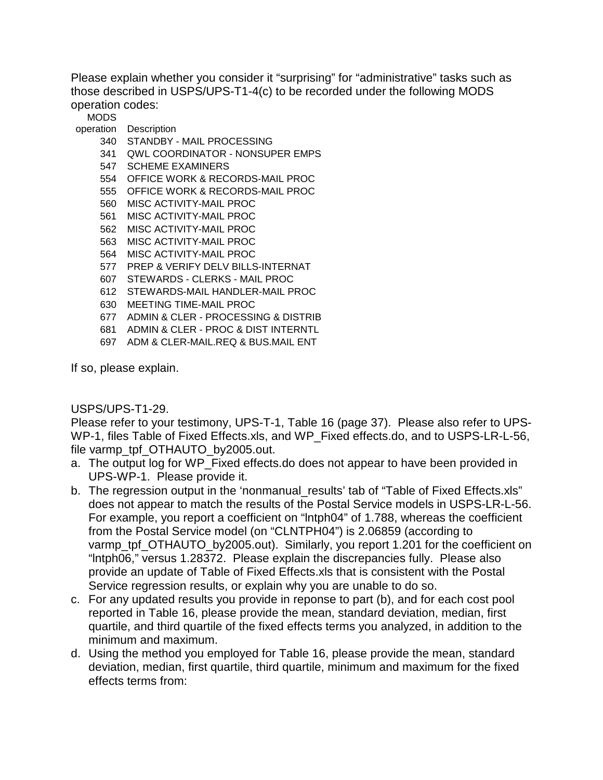Please explain whether you consider it "surprising" for "administrative" tasks such as those described in USPS/UPS-T1-4(c) to be recorded under the following MODS operation codes:

MODS

- operation Description
	- 340 STANDBY MAIL PROCESSING
	- 341 QWL COORDINATOR NONSUPER EMPS
	- 547 SCHEME EXAMINERS
	- 554 OFFICE WORK & RECORDS-MAIL PROC
	- 555 OFFICE WORK & RECORDS-MAIL PROC
	- 560 MISC ACTIVITY-MAIL PROC
	- 561 MISC ACTIVITY-MAIL PROC
	- 562 MISC ACTIVITY-MAIL PROC
	- 563 MISC ACTIVITY-MAIL PROC
	- 564 MISC ACTIVITY-MAIL PROC
	- 577 PREP & VERIFY DELV BILLS-INTERNAT
	- 607 STEWARDS CLERKS MAIL PROC
	- 612 STEWARDS-MAIL HANDLER-MAIL PROC
	- 630 MEETING TIME-MAIL PROC
	- 677 ADMIN & CLER PROCESSING & DISTRIB
	- 681 ADMIN & CLER PROC & DIST INTERNTL
	- 697 ADM & CLER-MAIL.REQ & BUS.MAIL ENT

If so, please explain.

#### USPS/UPS-T1-29.

Please refer to your testimony, UPS-T-1, Table 16 (page 37). Please also refer to UPS-WP-1, files Table of Fixed Effects.xls, and WP\_Fixed effects.do, and to USPS-LR-L-56, file varmp\_tpf\_OTHAUTO\_by2005.out.

- a. The output log for WP Fixed effects.do does not appear to have been provided in UPS-WP-1. Please provide it.
- b. The regression output in the 'nonmanual\_results' tab of "Table of Fixed Effects.xls" does not appear to match the results of the Postal Service models in USPS-LR-L-56. For example, you report a coefficient on "lntph04" of 1.788, whereas the coefficient from the Postal Service model (on "CLNTPH04") is 2.06859 (according to varmp\_tpf\_OTHAUTO\_by2005.out). Similarly, you report 1.201 for the coefficient on "lntph06," versus 1.28372. Please explain the discrepancies fully. Please also provide an update of Table of Fixed Effects.xls that is consistent with the Postal Service regression results, or explain why you are unable to do so.
- c. For any updated results you provide in reponse to part (b), and for each cost pool reported in Table 16, please provide the mean, standard deviation, median, first quartile, and third quartile of the fixed effects terms you analyzed, in addition to the minimum and maximum.
- d. Using the method you employed for Table 16, please provide the mean, standard deviation, median, first quartile, third quartile, minimum and maximum for the fixed effects terms from: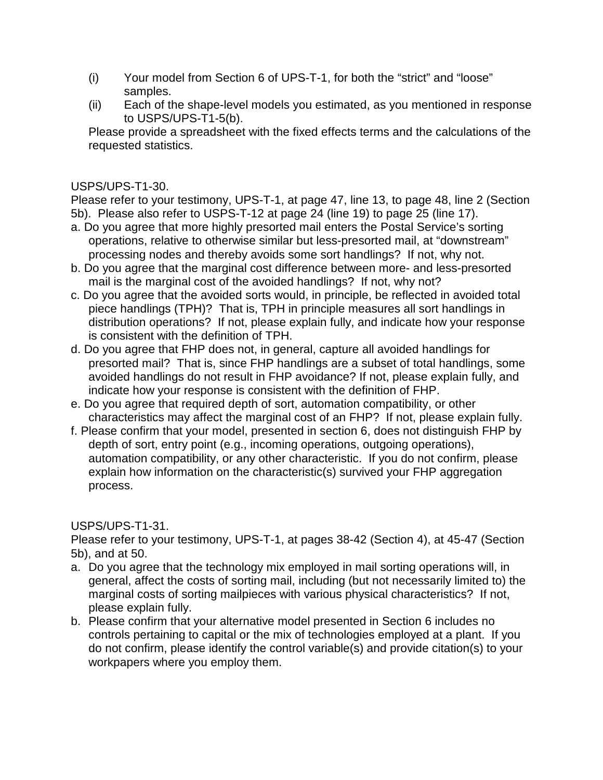- (i) Your model from Section 6 of UPS-T-1, for both the "strict" and "loose" samples.
- (ii) Each of the shape-level models you estimated, as you mentioned in response to USPS/UPS-T1-5(b).

Please provide a spreadsheet with the fixed effects terms and the calculations of the requested statistics.

## USPS/UPS-T1-30.

Please refer to your testimony, UPS-T-1, at page 47, line 13, to page 48, line 2 (Section 5b). Please also refer to USPS-T-12 at page 24 (line 19) to page 25 (line 17).

- a. Do you agree that more highly presorted mail enters the Postal Service's sorting operations, relative to otherwise similar but less-presorted mail, at "downstream" processing nodes and thereby avoids some sort handlings? If not, why not.
- b. Do you agree that the marginal cost difference between more- and less-presorted mail is the marginal cost of the avoided handlings? If not, why not?
- c. Do you agree that the avoided sorts would, in principle, be reflected in avoided total piece handlings (TPH)? That is, TPH in principle measures all sort handlings in distribution operations? If not, please explain fully, and indicate how your response is consistent with the definition of TPH.
- d. Do you agree that FHP does not, in general, capture all avoided handlings for presorted mail? That is, since FHP handlings are a subset of total handlings, some avoided handlings do not result in FHP avoidance? If not, please explain fully, and indicate how your response is consistent with the definition of FHP.
- e. Do you agree that required depth of sort, automation compatibility, or other characteristics may affect the marginal cost of an FHP? If not, please explain fully.
- f. Please confirm that your model, presented in section 6, does not distinguish FHP by depth of sort, entry point (e.g., incoming operations, outgoing operations), automation compatibility, or any other characteristic. If you do not confirm, please explain how information on the characteristic(s) survived your FHP aggregation process.

USPS/UPS-T1-31.

Please refer to your testimony, UPS-T-1, at pages 38-42 (Section 4), at 45-47 (Section 5b), and at 50.

- a. Do you agree that the technology mix employed in mail sorting operations will, in general, affect the costs of sorting mail, including (but not necessarily limited to) the marginal costs of sorting mailpieces with various physical characteristics? If not, please explain fully.
- b. Please confirm that your alternative model presented in Section 6 includes no controls pertaining to capital or the mix of technologies employed at a plant. If you do not confirm, please identify the control variable(s) and provide citation(s) to your workpapers where you employ them.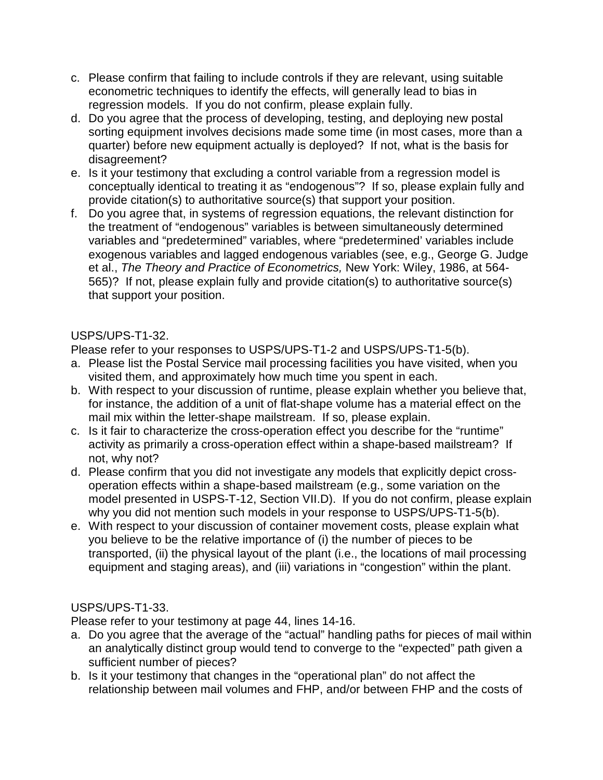- c. Please confirm that failing to include controls if they are relevant, using suitable econometric techniques to identify the effects, will generally lead to bias in regression models. If you do not confirm, please explain fully.
- d. Do you agree that the process of developing, testing, and deploying new postal sorting equipment involves decisions made some time (in most cases, more than a quarter) before new equipment actually is deployed? If not, what is the basis for disagreement?
- e. Is it your testimony that excluding a control variable from a regression model is conceptually identical to treating it as "endogenous"? If so, please explain fully and provide citation(s) to authoritative source(s) that support your position.
- f. Do you agree that, in systems of regression equations, the relevant distinction for the treatment of "endogenous" variables is between simultaneously determined variables and "predetermined" variables, where "predetermined' variables include exogenous variables and lagged endogenous variables (see, e.g., George G. Judge et al., The Theory and Practice of Econometrics, New York: Wiley, 1986, at 564- 565)? If not, please explain fully and provide citation(s) to authoritative source(s) that support your position.

## USPS/UPS-T1-32.

Please refer to your responses to USPS/UPS-T1-2 and USPS/UPS-T1-5(b).

- a. Please list the Postal Service mail processing facilities you have visited, when you visited them, and approximately how much time you spent in each.
- b. With respect to your discussion of runtime, please explain whether you believe that, for instance, the addition of a unit of flat-shape volume has a material effect on the mail mix within the letter-shape mailstream. If so, please explain.
- c. Is it fair to characterize the cross-operation effect you describe for the "runtime" activity as primarily a cross-operation effect within a shape-based mailstream? If not, why not?
- d. Please confirm that you did not investigate any models that explicitly depict crossoperation effects within a shape-based mailstream (e.g., some variation on the model presented in USPS-T-12, Section VII.D). If you do not confirm, please explain why you did not mention such models in your response to USPS/UPS-T1-5(b).
- e. With respect to your discussion of container movement costs, please explain what you believe to be the relative importance of (i) the number of pieces to be transported, (ii) the physical layout of the plant (i.e., the locations of mail processing equipment and staging areas), and (iii) variations in "congestion" within the plant.

# USPS/UPS-T1-33.

Please refer to your testimony at page 44, lines 14-16.

- a. Do you agree that the average of the "actual" handling paths for pieces of mail within an analytically distinct group would tend to converge to the "expected" path given a sufficient number of pieces?
- b. Is it your testimony that changes in the "operational plan" do not affect the relationship between mail volumes and FHP, and/or between FHP and the costs of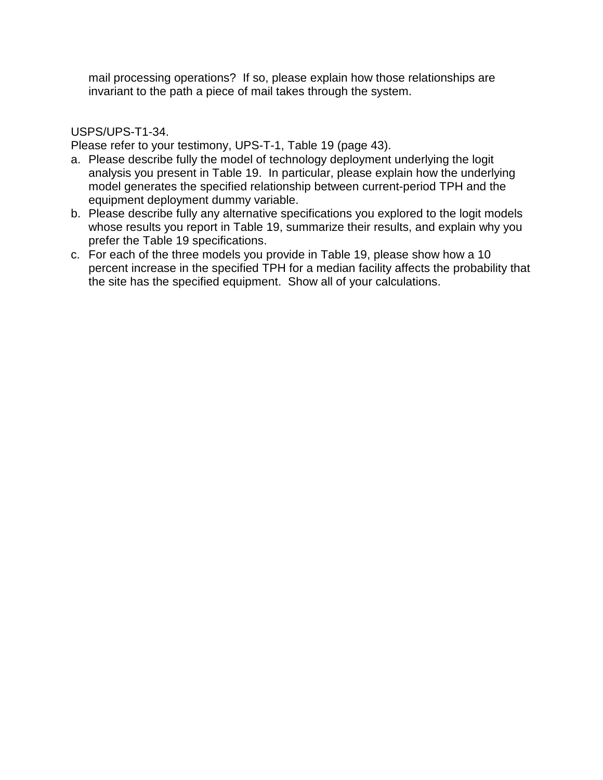mail processing operations? If so, please explain how those relationships are invariant to the path a piece of mail takes through the system.

### USPS/UPS-T1-34.

Please refer to your testimony, UPS-T-1, Table 19 (page 43).

- a. Please describe fully the model of technology deployment underlying the logit analysis you present in Table 19. In particular, please explain how the underlying model generates the specified relationship between current-period TPH and the equipment deployment dummy variable.
- b. Please describe fully any alternative specifications you explored to the logit models whose results you report in Table 19, summarize their results, and explain why you prefer the Table 19 specifications.
- c. For each of the three models you provide in Table 19, please show how a 10 percent increase in the specified TPH for a median facility affects the probability that the site has the specified equipment. Show all of your calculations.